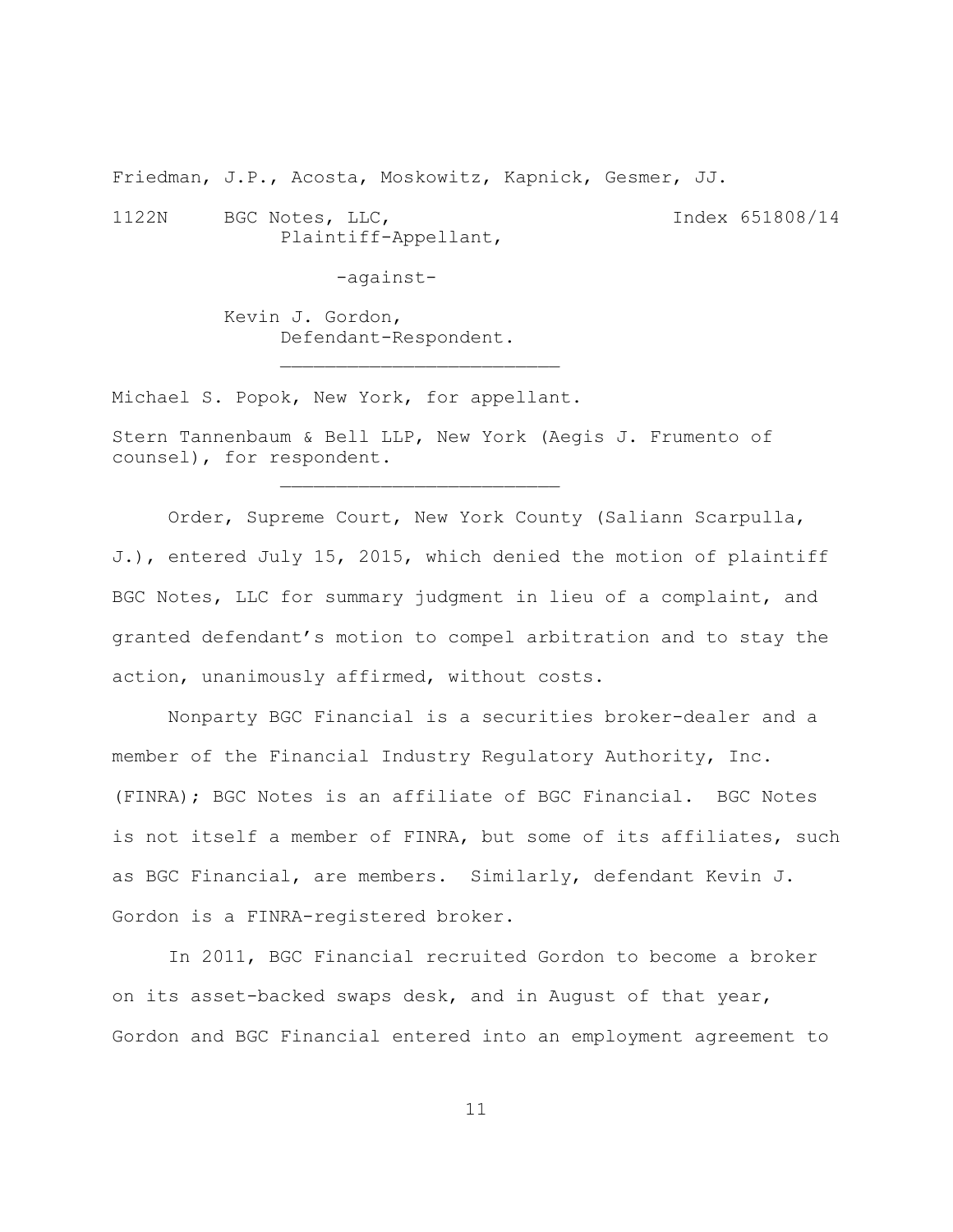Friedman, J.P., Acosta, Moskowitz, Kapnick, Gesmer, JJ.

 $\mathcal{L}_\text{max}$ 

1122N BGC Notes, LLC, The State of the Second Late of the BS1808/14 Plaintiff-Appellant,

-against-

Kevin J. Gordon, Defendant-Respondent.

Michael S. Popok, New York, for appellant.

Stern Tannenbaum & Bell LLP, New York (Aegis J. Frumento of counsel), for respondent.

Order, Supreme Court, New York County (Saliann Scarpulla, J.), entered July 15, 2015, which denied the motion of plaintiff BGC Notes, LLC for summary judgment in lieu of a complaint, and granted defendant's motion to compel arbitration and to stay the action, unanimously affirmed, without costs.

Nonparty BGC Financial is a securities broker-dealer and a member of the Financial Industry Regulatory Authority, Inc. (FINRA); BGC Notes is an affiliate of BGC Financial. BGC Notes is not itself a member of FINRA, but some of its affiliates, such as BGC Financial, are members. Similarly, defendant Kevin J. Gordon is a FINRA-registered broker.

In 2011, BGC Financial recruited Gordon to become a broker on its asset-backed swaps desk, and in August of that year, Gordon and BGC Financial entered into an employment agreement to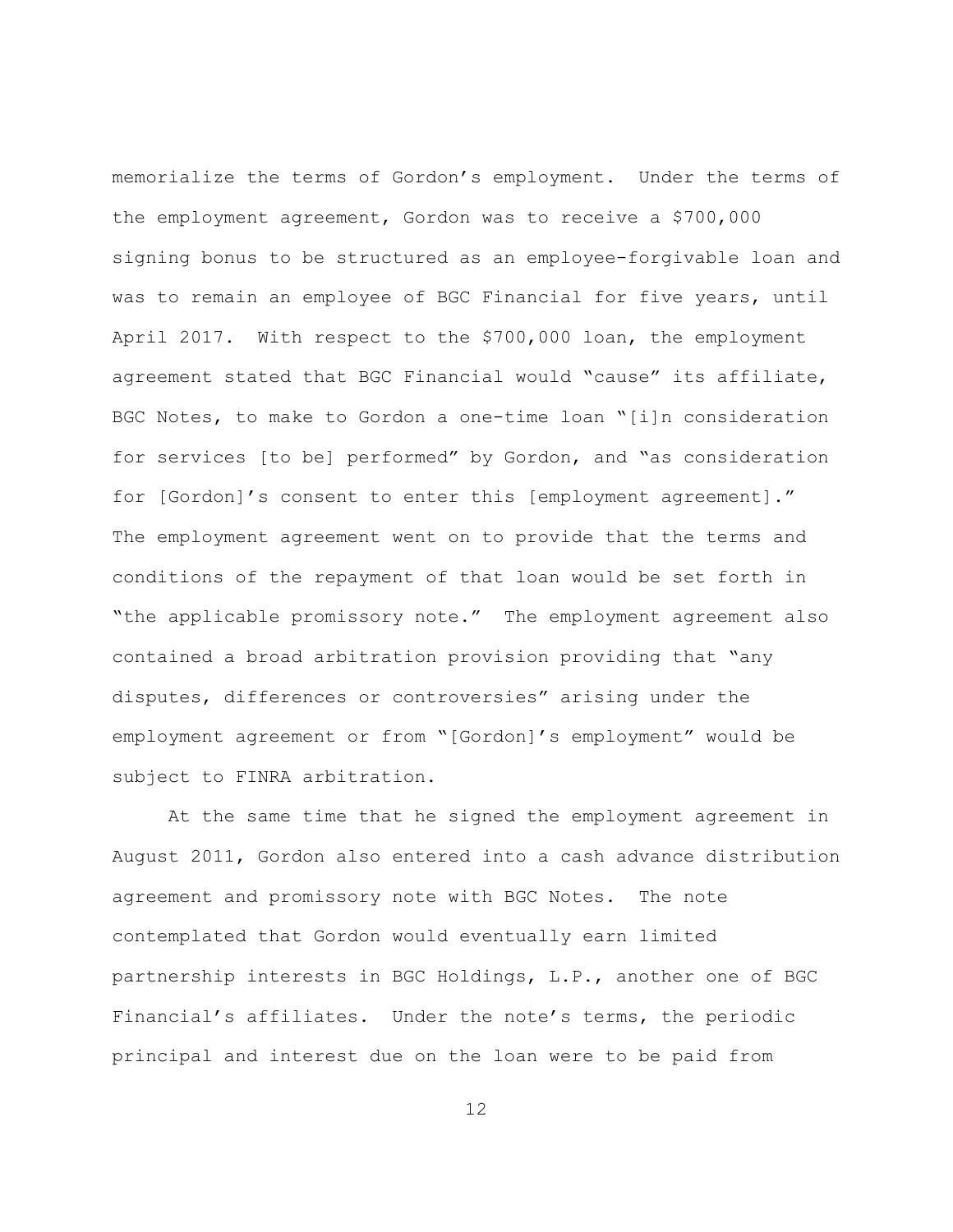memorialize the terms of Gordon's employment. Under the terms of the employment agreement, Gordon was to receive a \$700,000 signing bonus to be structured as an employee-forgivable loan and was to remain an employee of BGC Financial for five years, until April 2017. With respect to the \$700,000 loan, the employment agreement stated that BGC Financial would "cause" its affiliate, BGC Notes, to make to Gordon a one-time loan "[i]n consideration for services [to be] performed" by Gordon, and "as consideration for [Gordon]'s consent to enter this [employment agreement]." The employment agreement went on to provide that the terms and conditions of the repayment of that loan would be set forth in "the applicable promissory note." The employment agreement also contained a broad arbitration provision providing that "any disputes, differences or controversies" arising under the employment agreement or from "[Gordon]'s employment" would be subject to FINRA arbitration.

At the same time that he signed the employment agreement in August 2011, Gordon also entered into a cash advance distribution agreement and promissory note with BGC Notes. The note contemplated that Gordon would eventually earn limited partnership interests in BGC Holdings, L.P., another one of BGC Financial's affiliates. Under the note's terms, the periodic principal and interest due on the loan were to be paid from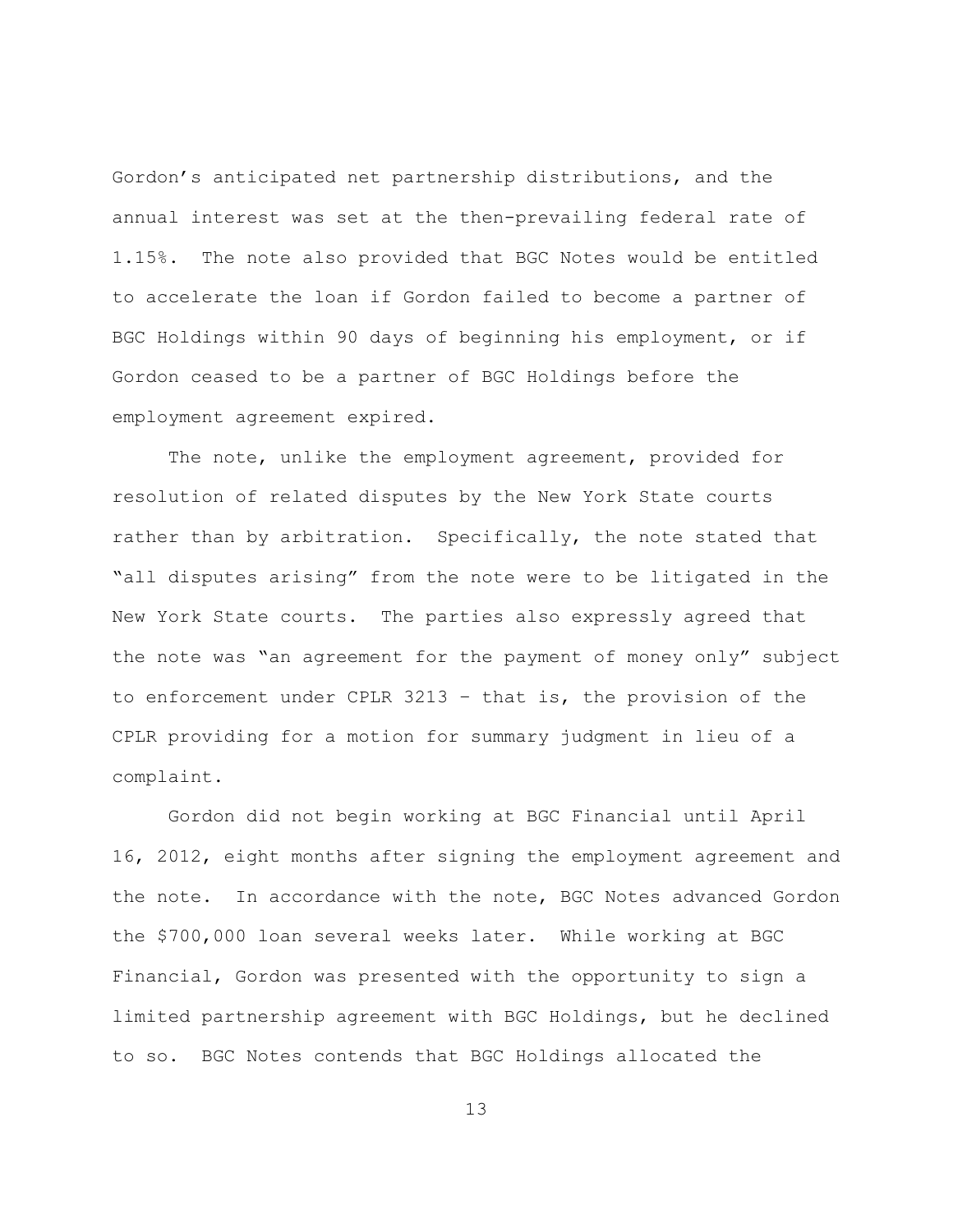Gordon's anticipated net partnership distributions, and the annual interest was set at the then-prevailing federal rate of 1.15%. The note also provided that BGC Notes would be entitled to accelerate the loan if Gordon failed to become a partner of BGC Holdings within 90 days of beginning his employment, or if Gordon ceased to be a partner of BGC Holdings before the employment agreement expired.

The note, unlike the employment agreement, provided for resolution of related disputes by the New York State courts rather than by arbitration. Specifically, the note stated that "all disputes arising" from the note were to be litigated in the New York State courts. The parties also expressly agreed that the note was "an agreement for the payment of money only" subject to enforcement under CPLR 3213 – that is, the provision of the CPLR providing for a motion for summary judgment in lieu of a complaint.

Gordon did not begin working at BGC Financial until April 16, 2012, eight months after signing the employment agreement and the note. In accordance with the note, BGC Notes advanced Gordon the \$700,000 loan several weeks later. While working at BGC Financial, Gordon was presented with the opportunity to sign a limited partnership agreement with BGC Holdings, but he declined to so. BGC Notes contends that BGC Holdings allocated the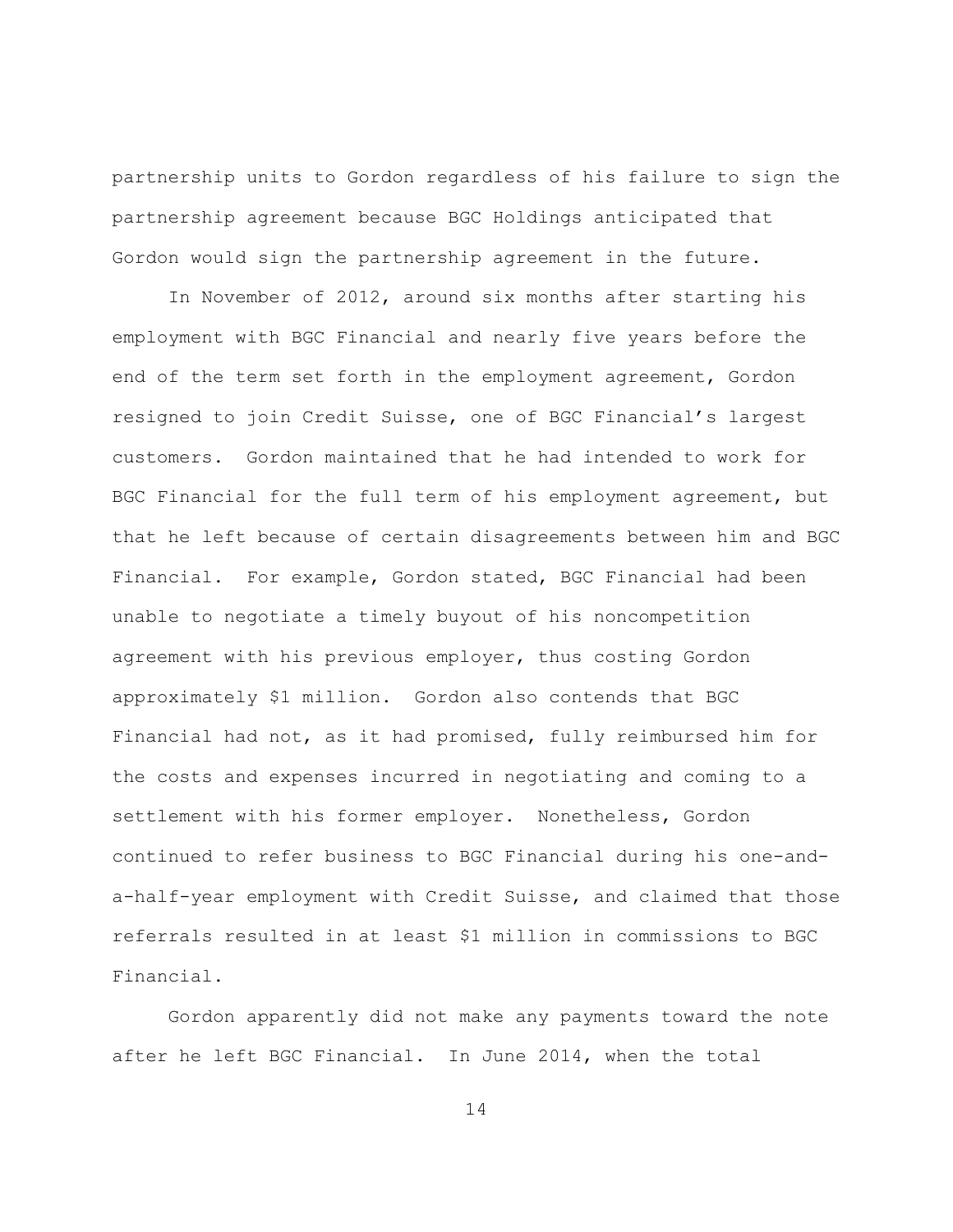partnership units to Gordon regardless of his failure to sign the partnership agreement because BGC Holdings anticipated that Gordon would sign the partnership agreement in the future.

In November of 2012, around six months after starting his employment with BGC Financial and nearly five years before the end of the term set forth in the employment agreement, Gordon resigned to join Credit Suisse, one of BGC Financial's largest customers. Gordon maintained that he had intended to work for BGC Financial for the full term of his employment agreement, but that he left because of certain disagreements between him and BGC Financial. For example, Gordon stated, BGC Financial had been unable to negotiate a timely buyout of his noncompetition agreement with his previous employer, thus costing Gordon approximately \$1 million. Gordon also contends that BGC Financial had not, as it had promised, fully reimbursed him for the costs and expenses incurred in negotiating and coming to a settlement with his former employer. Nonetheless, Gordon continued to refer business to BGC Financial during his one-anda-half-year employment with Credit Suisse, and claimed that those referrals resulted in at least \$1 million in commissions to BGC Financial.

Gordon apparently did not make any payments toward the note after he left BGC Financial. In June 2014, when the total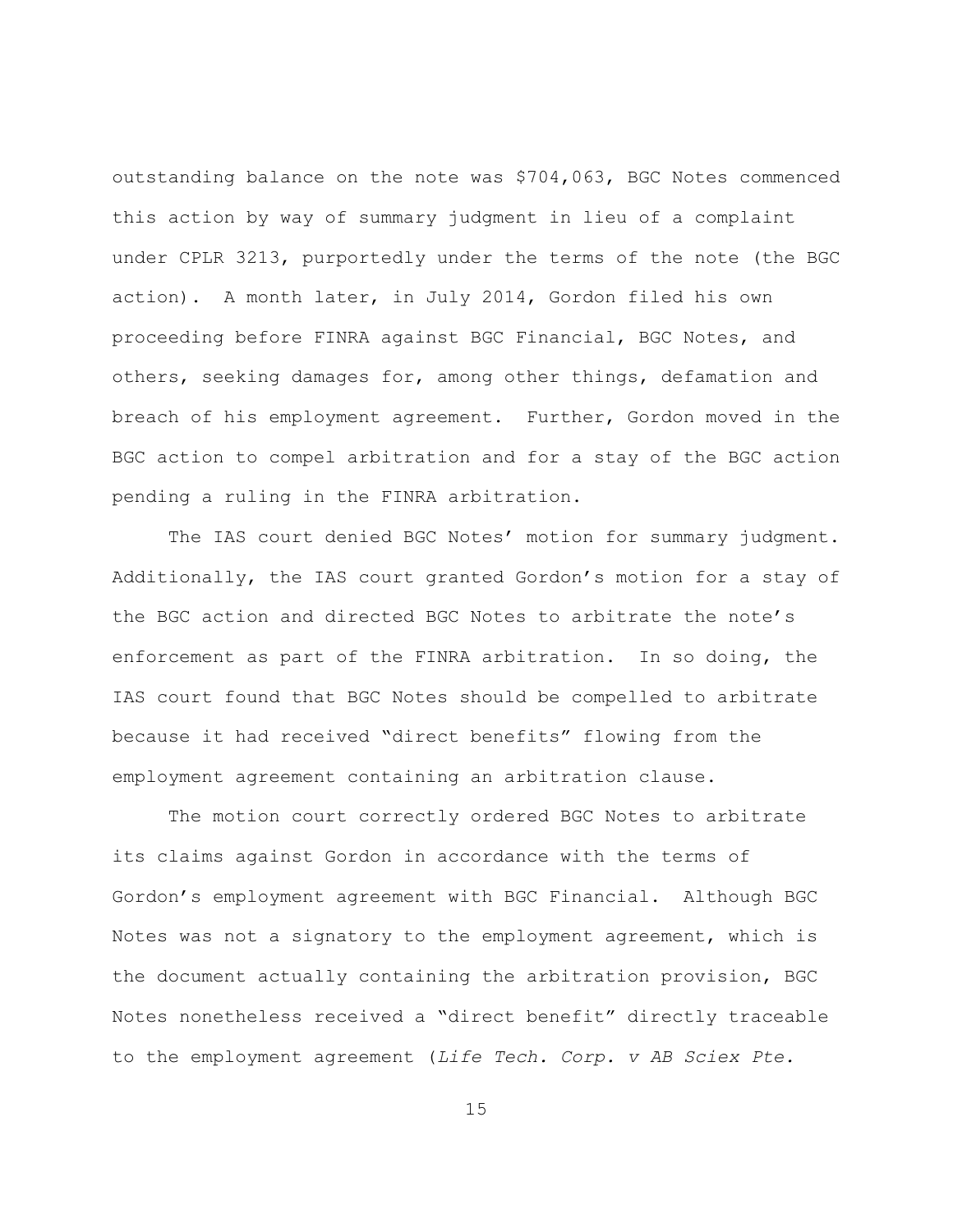outstanding balance on the note was \$704,063, BGC Notes commenced this action by way of summary judgment in lieu of a complaint under CPLR 3213, purportedly under the terms of the note (the BGC action). A month later, in July 2014, Gordon filed his own proceeding before FINRA against BGC Financial, BGC Notes, and others, seeking damages for, among other things, defamation and breach of his employment agreement. Further, Gordon moved in the BGC action to compel arbitration and for a stay of the BGC action pending a ruling in the FINRA arbitration.

The IAS court denied BGC Notes' motion for summary judgment. Additionally, the IAS court granted Gordon's motion for a stay of the BGC action and directed BGC Notes to arbitrate the note's enforcement as part of the FINRA arbitration. In so doing, the IAS court found that BGC Notes should be compelled to arbitrate because it had received "direct benefits" flowing from the employment agreement containing an arbitration clause.

The motion court correctly ordered BGC Notes to arbitrate its claims against Gordon in accordance with the terms of Gordon's employment agreement with BGC Financial. Although BGC Notes was not a signatory to the employment agreement, which is the document actually containing the arbitration provision, BGC Notes nonetheless received a "direct benefit" directly traceable to the employment agreement (*Life Tech. Corp. v AB Sciex Pte.*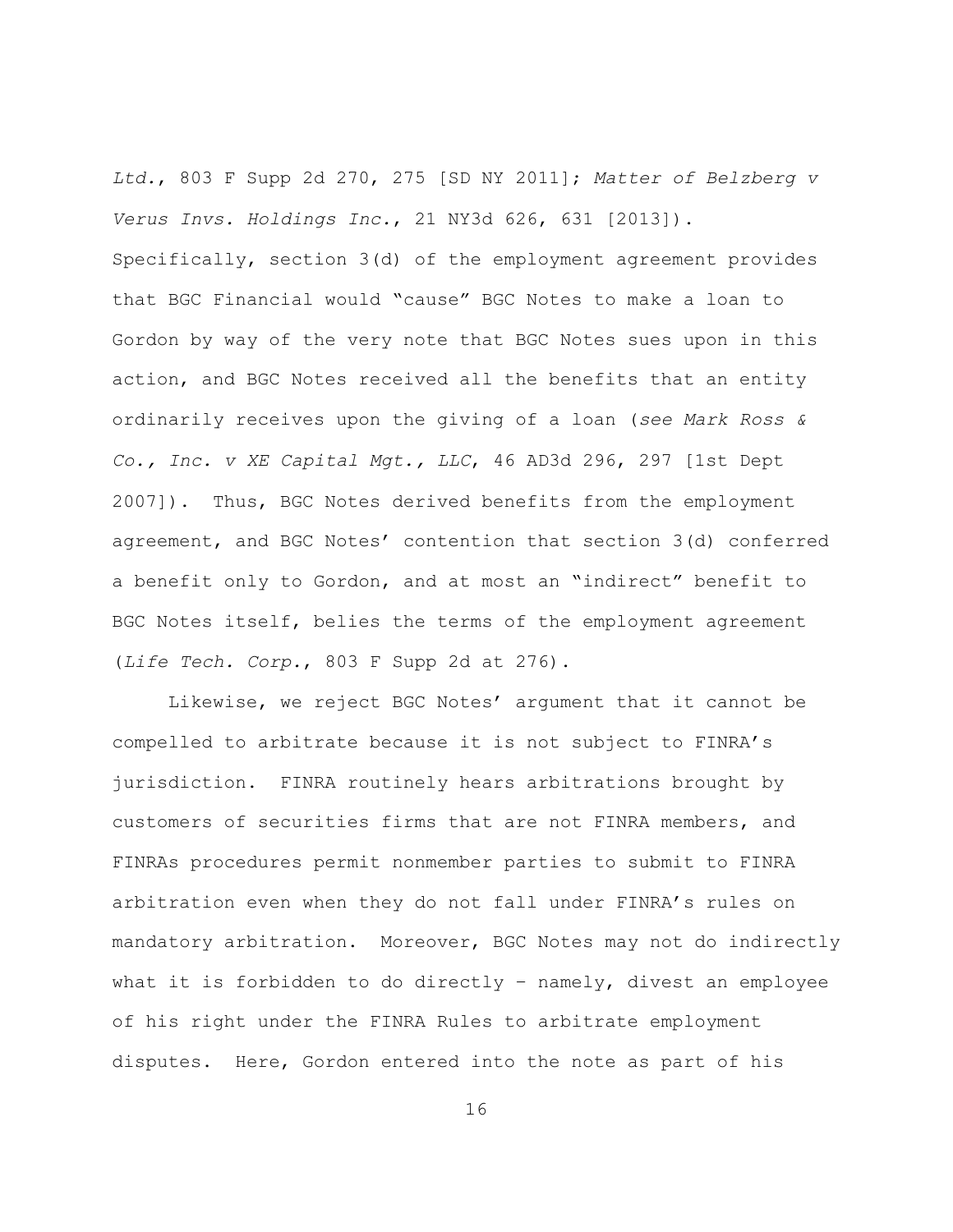*Ltd.*, 803 F Supp 2d 270, 275 [SD NY 2011]; *Matter of Belzberg v Verus Invs. Holdings Inc.*, 21 NY3d 626, 631 [2013]).

Specifically, section 3(d) of the employment agreement provides that BGC Financial would "cause" BGC Notes to make a loan to Gordon by way of the very note that BGC Notes sues upon in this action, and BGC Notes received all the benefits that an entity ordinarily receives upon the giving of a loan (*see Mark Ross & Co., Inc. v XE Capital Mgt., LLC*, 46 AD3d 296, 297 [1st Dept 2007]). Thus, BGC Notes derived benefits from the employment agreement, and BGC Notes' contention that section 3(d) conferred a benefit only to Gordon, and at most an "indirect" benefit to BGC Notes itself, belies the terms of the employment agreement (*Life Tech. Corp.*, 803 F Supp 2d at 276).

Likewise, we reject BGC Notes' argument that it cannot be compelled to arbitrate because it is not subject to FINRA's jurisdiction. FINRA routinely hears arbitrations brought by customers of securities firms that are not FINRA members, and FINRAs procedures permit nonmember parties to submit to FINRA arbitration even when they do not fall under FINRA's rules on mandatory arbitration. Moreover, BGC Notes may not do indirectly what it is forbidden to do directly – namely, divest an employee of his right under the FINRA Rules to arbitrate employment disputes. Here, Gordon entered into the note as part of his